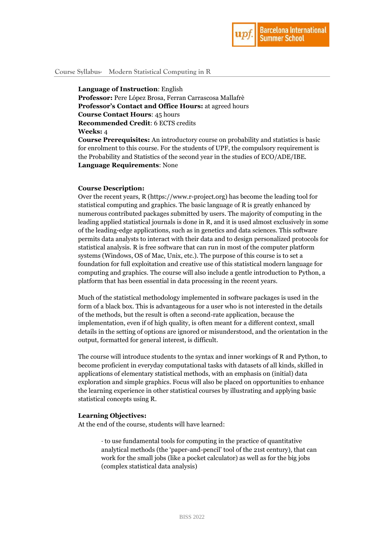

## **Course Syllabus- Modern Statistical Computing in R**

**Language of Instruction**: English

**Professor:** Pere López Brosa, Ferran Carrascosa Mallafrè **Professor's Contact and Office Hours:** at agreed hours **Course Contact Hours**: 45 hours **Recommended Credit**: 6 ECTS credits **Weeks:** 4

**Course Prerequisites:** An introductory course on probability and statistics is basic for enrolment to this course. For the students of UPF, the compulsory requirement is the Probability and Statistics of the second year in the studies of ECO/ADE/IBE. **Language Requirements**: None

### **Course Description:**

Over the recent years, R (https://www.r-project.org) has become the leading tool for statistical computing and graphics. The basic language of R is greatly enhanced by numerous contributed packages submitted by users. The majority of computing in the leading applied statistical journals is done in R, and it is used almost exclusively in some of the leading-edge applications, such as in genetics and data sciences. This software permits data analysts to interact with their data and to design personalized protocols for statistical analysis. R is free software that can run in most of the computer platform systems (Windows, OS of Mac, Unix, etc.). The purpose of this course is to set a foundation for full exploitation and creative use of this statistical modern language for computing and graphics. The course will also include a gentle introduction to Python, a platform that has been essential in data processing in the recent years.

Much of the statistical methodology implemented in software packages is used in the form of a black box. This is advantageous for a user who is not interested in the details of the methods, but the result is often a second-rate application, because the implementation, even if of high quality, is often meant for a different context, small details in the setting of options are ignored or misunderstood, and the orientation in the output, formatted for general interest, is difficult.

The course will introduce students to the syntax and inner workings of R and Python, to become proficient in everyday computational tasks with datasets of all kinds, skilled in applications of elementary statistical methods, with an emphasis on (initial) data exploration and simple graphics. Focus will also be placed on opportunities to enhance the learning experience in other statistical courses by illustrating and applying basic statistical concepts using R.

### **Learning Objectives:**

At the end of the course, students will have learned:

· to use fundamental tools for computing in the practice of quantitative analytical methods (the 'paper-and-pencil' tool of the 21st century), that can work for the small jobs (like a pocket calculator) as well as for the big jobs (complex statistical data analysis)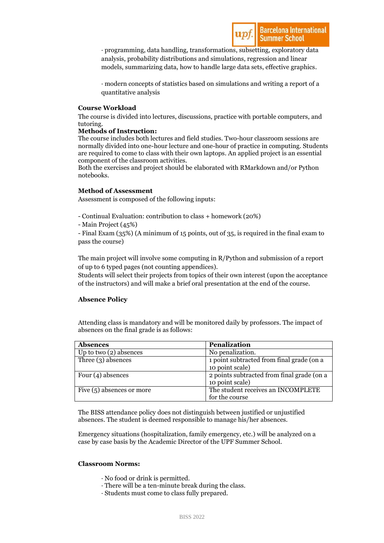· programming, data handling, transformations, subsetting, exploratory data analysis, probability distributions and simulations, regression and linear models, summarizing data, how to handle large data sets, effective graphics.

· modern concepts of statistics based on simulations and writing a report of a quantitative analysis

## **Course Workload**

The course is divided into lectures, discussions, practice with portable computers, and tutoring.

## **Methods of Instruction:**

The course includes both lectures and field studies. Two-hour classroom sessions are normally divided into one-hour lecture and one-hour of practice in computing. Students are required to come to class with their own laptops. An applied project is an essential component of the classroom activities.

Both the exercises and project should be elaborated with RMarkdown and/or Python notebooks.

# **Method of Assessment**

Assessment is composed of the following inputs:

- Continual Evaluation: contribution to class + homework (20%)

- Main Project (45%)

- Final Exam (35%) (A minimum of 15 points, out of 35, is required in the final exam to pass the course)

The main project will involve some computing in R/Python and submission of a report of up to 6 typed pages (not counting appendices).

Students will select their projects from topics of their own interest (upon the acceptance of the instructors) and will make a brief oral presentation at the end of the course.

# **Absence Policy**

Attending class is mandatory and will be monitored daily by professors. The impact of absences on the final grade is as follows:

| <b>Absences</b>             | <b>Penalization</b>                        |
|-----------------------------|--------------------------------------------|
| Up to two $(2)$ absences    | No penalization.                           |
| Three $(3)$ absences        | 1 point subtracted from final grade (on a  |
|                             | 10 point scale)                            |
| Four $(4)$ absences         | 2 points subtracted from final grade (on a |
|                             | 10 point scale)                            |
| Five $(5)$ absences or more | The student receives an INCOMPLETE         |
|                             | for the course                             |

The BISS attendance policy does not distinguish between justified or unjustified absences. The student is deemed responsible to manage his/her absences.

Emergency situations (hospitalization, family emergency, etc.) will be analyzed on a case by case basis by the Academic Director of the UPF Summer School.

### **Classroom Norms:**

- · No food or drink is permitted.
- · There will be a ten-minute break during the class.
- · Students must come to class fully prepared.